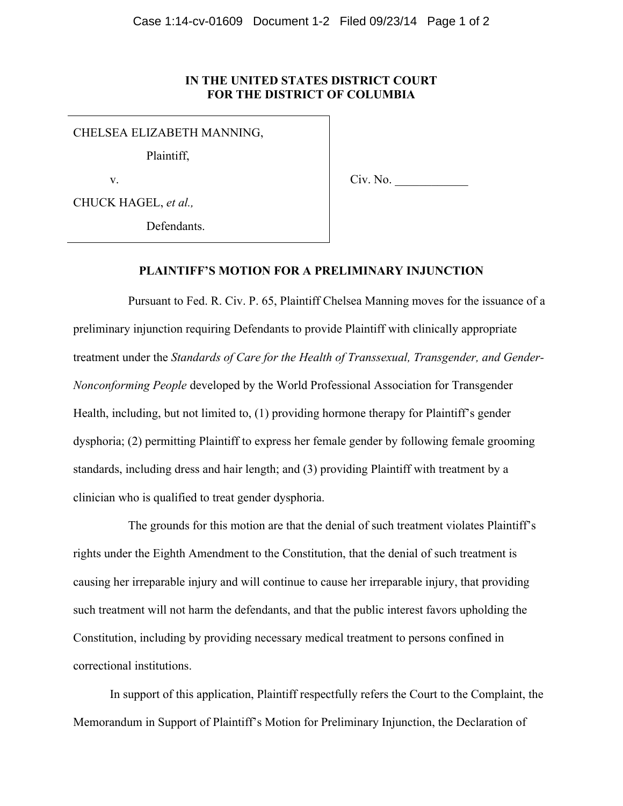## **IN THE UNITED STATES DISTRICT COURT FOR THE DISTRICT OF COLUMBIA**

CHELSEA ELIZABETH MANNING,

Plaintiff,

v.

Civ. No.

CHUCK HAGEL, *et al.,*

Defendants.

## **PLAINTIFF'S MOTION FOR A PRELIMINARY INJUNCTION**

Pursuant to Fed. R. Civ. P. 65, Plaintiff Chelsea Manning moves for the issuance of a preliminary injunction requiring Defendants to provide Plaintiff with clinically appropriate treatment under the *Standards of Care for the Health of Transsexual, Transgender, and Gender-Nonconforming People* developed by the World Professional Association for Transgender Health, including, but not limited to, (1) providing hormone therapy for Plaintiff's gender dysphoria; (2) permitting Plaintiff to express her female gender by following female grooming standards, including dress and hair length; and (3) providing Plaintiff with treatment by a clinician who is qualified to treat gender dysphoria.

The grounds for this motion are that the denial of such treatment violates Plaintiff's rights under the Eighth Amendment to the Constitution, that the denial of such treatment is causing her irreparable injury and will continue to cause her irreparable injury, that providing such treatment will not harm the defendants, and that the public interest favors upholding the Constitution, including by providing necessary medical treatment to persons confined in correctional institutions.

In support of this application, Plaintiff respectfully refers the Court to the Complaint, the Memorandum in Support of Plaintiff's Motion for Preliminary Injunction, the Declaration of